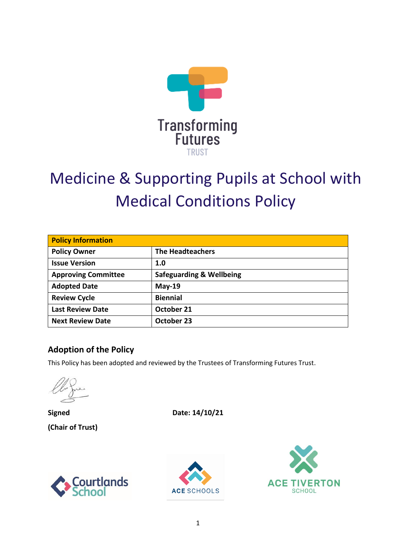

# Medicine & Supporting Pupils at School with Medical Conditions Policy

| <b>Policy Information</b>  |                                     |  |  |
|----------------------------|-------------------------------------|--|--|
| <b>Policy Owner</b>        | <b>The Headteachers</b>             |  |  |
| <b>Issue Version</b>       | 1.0                                 |  |  |
| <b>Approving Committee</b> | <b>Safeguarding &amp; Wellbeing</b> |  |  |
| <b>Adopted Date</b>        | $May-19$                            |  |  |
| <b>Review Cycle</b>        | <b>Biennial</b>                     |  |  |
| <b>Last Review Date</b>    | October 21                          |  |  |
| <b>Next Review Date</b>    | October 23                          |  |  |

#### **Adoption of the Policy**

This Policy has been adopted and reviewed by the Trustees of Transforming Futures Trust.

**(Chair of Trust)** 

**Signed** Date: 14/10/21





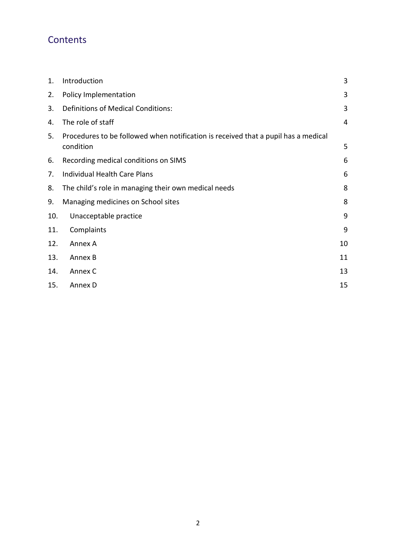# **Contents**

| 1.  | Introduction                                                                                    | 3  |
|-----|-------------------------------------------------------------------------------------------------|----|
| 2.  | Policy Implementation                                                                           | 3  |
| 3.  | <b>Definitions of Medical Conditions:</b>                                                       | 3  |
| 4.  | The role of staff                                                                               | 4  |
| 5.  | Procedures to be followed when notification is received that a pupil has a medical<br>condition | 5  |
| 6.  | Recording medical conditions on SIMS                                                            | 6  |
| 7.  | Individual Health Care Plans                                                                    | 6  |
| 8.  | The child's role in managing their own medical needs                                            | 8  |
| 9.  | Managing medicines on School sites                                                              | 8  |
| 10. | Unacceptable practice                                                                           | 9  |
| 11. | Complaints                                                                                      | 9  |
| 12. | Annex A                                                                                         | 10 |
| 13. | Annex B                                                                                         | 11 |
| 14. | Annex C                                                                                         | 13 |
| 15. | Annex D                                                                                         | 15 |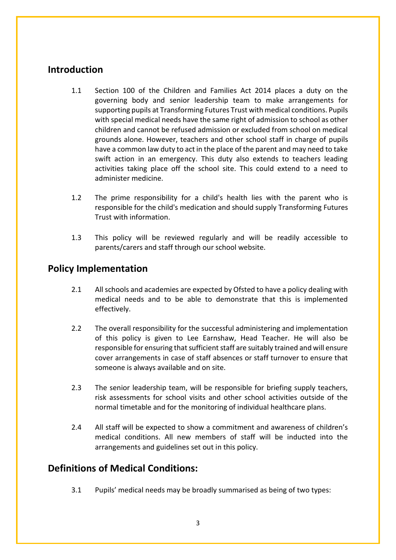### **Introduction**

- 1.1 Section 100 of the Children and Families Act 2014 places a duty on the governing body and senior leadership team to make arrangements for supporting pupils at Transforming Futures Trust with medical conditions. Pupils with special medical needs have the same right of admission to school as other children and cannot be refused admission or excluded from school on medical grounds alone. However, teachers and other school staff in charge of pupils have a common law duty to act in the place of the parent and may need to take swift action in an emergency. This duty also extends to teachers leading activities taking place off the school site. This could extend to a need to administer medicine.
- 1.2 The prime responsibility for a child's health lies with the parent who is responsible for the child's medication and should supply Transforming Futures Trust with information.
- 1.3 This policy will be reviewed regularly and will be readily accessible to parents/carers and staff through our school website.

#### **Policy Implementation**

- 2.1 All schools and academies are expected by Ofsted to have a policy dealing with medical needs and to be able to demonstrate that this is implemented effectively.
- 2.2 The overall responsibility for the successful administering and implementation of this policy is given to Lee Earnshaw, Head Teacher. He will also be responsible for ensuring that sufficient staff are suitably trained and will ensure cover arrangements in case of staff absences or staff turnover to ensure that someone is always available and on site.
- 2.3 The senior leadership team, will be responsible for briefing supply teachers, risk assessments for school visits and other school activities outside of the normal timetable and for the monitoring of individual healthcare plans.
- 2.4 All staff will be expected to show a commitment and awareness of children's medical conditions. All new members of staff will be inducted into the arrangements and guidelines set out in this policy.

#### **Definitions of Medical Conditions:**

3.1 Pupils' medical needs may be broadly summarised as being of two types: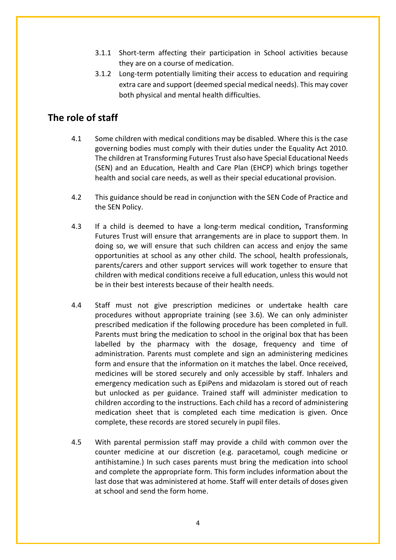- 3.1.1 Short-term affecting their participation in School activities because they are on a course of medication.
- 3.1.2 Long-term potentially limiting their access to education and requiring extra care and support (deemed special medical needs). This may cover both physical and mental health difficulties.

# **The role of staff**

- 4.1 Some children with medical conditions may be disabled. Where this is the case governing bodies must comply with their duties under the Equality Act 2010. The children at Transforming Futures Trust also have Special Educational Needs (SEN) and an Education, Health and Care Plan (EHCP) which brings together health and social care needs, as well as their special educational provision.
- 4.2 This guidance should be read in conjunction with the SEN Code of Practice and the SEN Policy.
- 4.3 If a child is deemed to have a long-term medical condition**,** Transforming Futures Trust will ensure that arrangements are in place to support them. In doing so, we will ensure that such children can access and enjoy the same opportunities at school as any other child. The school, health professionals, parents/carers and other support services will work together to ensure that children with medical conditions receive a full education, unless this would not be in their best interests because of their health needs.
- 4.4 Staff must not give prescription medicines or undertake health care procedures without appropriate training (see 3.6). We can only administer prescribed medication if the following procedure has been completed in full. Parents must bring the medication to school in the original box that has been labelled by the pharmacy with the dosage, frequency and time of administration. Parents must complete and sign an administering medicines form and ensure that the information on it matches the label. Once received, medicines will be stored securely and only accessible by staff. Inhalers and emergency medication such as EpiPens and midazolam is stored out of reach but unlocked as per guidance. Trained staff will administer medication to children according to the instructions. Each child has a record of administering medication sheet that is completed each time medication is given. Once complete, these records are stored securely in pupil files.
- 4.5 With parental permission staff may provide a child with common over the counter medicine at our discretion (e.g. paracetamol, cough medicine or antihistamine.) In such cases parents must bring the medication into school and complete the appropriate form. This form includes information about the last dose that was administered at home. Staff will enter details of doses given at school and send the form home.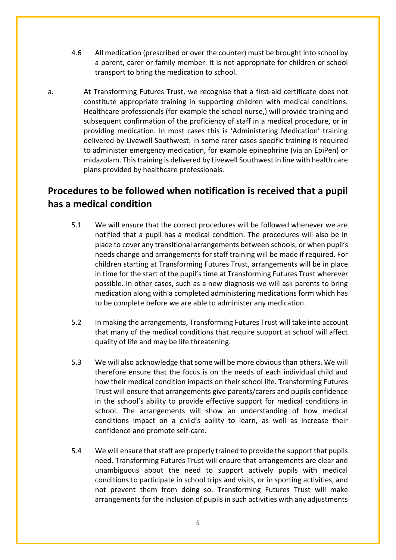- 4.6 All medication (prescribed or over the counter) must be brought into school by a parent, carer or family member. It is not appropriate for children or school transport to bring the medication to school.
- a. At Transforming Futures Trust, we recognise that a first-aid certificate does not constitute appropriate training in supporting children with medical conditions. Healthcare professionals (for example the school nurse,) will provide training and subsequent confirmation of the proficiency of staff in a medical procedure, or in providing medication. In most cases this is 'Administering Medication' training delivered by Livewell Southwest. In some rarer cases specific training is required to administer emergency medication, for example epinephrine (via an EpiPen) or midazolam. This training is delivered by Livewell Southwest in line with health care plans provided by healthcare professionals.

# **Procedures to be followed when notification is received that a pupil has a medical condition**

- 5.1 We will ensure that the correct procedures will be followed whenever we are notified that a pupil has a medical condition. The procedures will also be in place to cover any transitional arrangements between schools, or when pupil's needs change and arrangements for staff training will be made if required. For children starting at Transforming Futures Trust, arrangements will be in place in time for the start of the pupil's time at Transforming Futures Trust wherever possible. In other cases, such as a new diagnosis we will ask parents to bring medication along with a completed administering medications form which has to be complete before we are able to administer any medication.
- 5.2 In making the arrangements, Transforming Futures Trust will take into account that many of the medical conditions that require support at school will affect quality of life and may be life threatening.
- 5.3 We will also acknowledge that some will be more obvious than others. We will therefore ensure that the focus is on the needs of each individual child and how their medical condition impacts on their school life. Transforming Futures Trust will ensure that arrangements give parents/carers and pupils confidence in the school's ability to provide effective support for medical conditions in school. The arrangements will show an understanding of how medical conditions impact on a child's ability to learn, as well as increase their confidence and promote self-care.
- 5.4 We will ensure that staff are properly trained to provide the support that pupils need. Transforming Futures Trust will ensure that arrangements are clear and unambiguous about the need to support actively pupils with medical conditions to participate in school trips and visits, or in sporting activities, and not prevent them from doing so. Transforming Futures Trust will make arrangements for the inclusion of pupils in such activities with any adjustments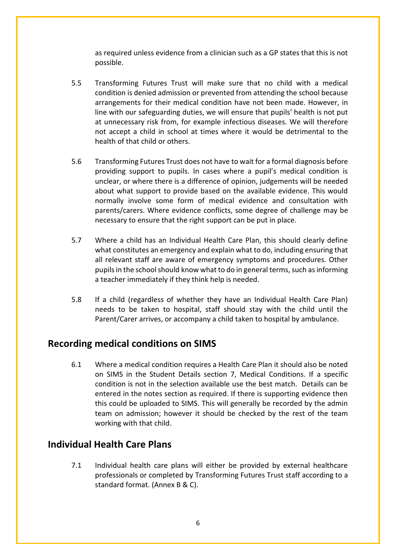as required unless evidence from a clinician such as a GP states that this is not possible.

- 5.5 Transforming Futures Trust will make sure that no child with a medical condition is denied admission or prevented from attending the school because arrangements for their medical condition have not been made. However, in line with our safeguarding duties, we will ensure that pupils' health is not put at unnecessary risk from, for example infectious diseases. We will therefore not accept a child in school at times where it would be detrimental to the health of that child or others.
- 5.6 Transforming Futures Trust does not have to wait for a formal diagnosis before providing support to pupils. In cases where a pupil's medical condition is unclear, or where there is a difference of opinion, judgements will be needed about what support to provide based on the available evidence. This would normally involve some form of medical evidence and consultation with parents/carers. Where evidence conflicts, some degree of challenge may be necessary to ensure that the right support can be put in place.
- 5.7 Where a child has an Individual Health Care Plan, this should clearly define what constitutes an emergency and explain what to do, including ensuring that all relevant staff are aware of emergency symptoms and procedures. Other pupils in the school should know what to do in general terms, such as informing a teacher immediately if they think help is needed.
- 5.8 If a child (regardless of whether they have an Individual Health Care Plan) needs to be taken to hospital, staff should stay with the child until the Parent/Carer arrives, or accompany a child taken to hospital by ambulance.

#### **Recording medical conditions on SIMS**

6.1 Where a medical condition requires a Health Care Plan it should also be noted on SIMS in the Student Details section 7, Medical Conditions. If a specific condition is not in the selection available use the best match. Details can be entered in the notes section as required. If there is supporting evidence then this could be uploaded to SIMS. This will generally be recorded by the admin team on admission; however it should be checked by the rest of the team working with that child.

#### **Individual Health Care Plans**

7.1 Individual health care plans will either be provided by external healthcare professionals or completed by Transforming Futures Trust staff according to a standard format. (Annex B & C).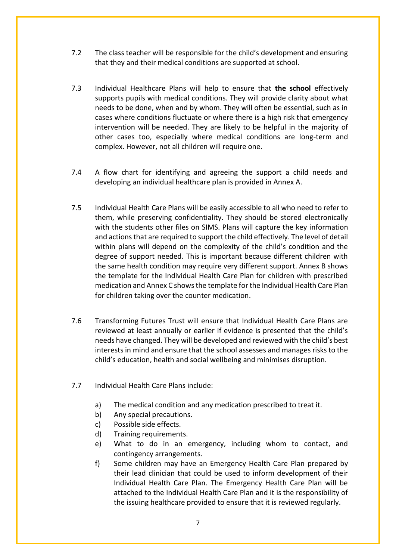- 7.2 The class teacher will be responsible for the child's development and ensuring that they and their medical conditions are supported at school.
- 7.3 Individual Healthcare Plans will help to ensure that **the school** effectively supports pupils with medical conditions. They will provide clarity about what needs to be done, when and by whom. They will often be essential, such as in cases where conditions fluctuate or where there is a high risk that emergency intervention will be needed. They are likely to be helpful in the majority of other cases too, especially where medical conditions are long-term and complex. However, not all children will require one.
- 7.4 A flow chart for identifying and agreeing the support a child needs and developing an individual healthcare plan is provided in Annex A.
- 7.5 Individual Health Care Plans will be easily accessible to all who need to refer to them, while preserving confidentiality. They should be stored electronically with the students other files on SIMS. Plans will capture the key information and actions that are required to support the child effectively. The level of detail within plans will depend on the complexity of the child's condition and the degree of support needed. This is important because different children with the same health condition may require very different support. Annex B shows the template for the Individual Health Care Plan for children with prescribed medication and Annex C shows the template for the Individual Health Care Plan for children taking over the counter medication.
- 7.6 Transforming Futures Trust will ensure that Individual Health Care Plans are reviewed at least annually or earlier if evidence is presented that the child's needs have changed. They will be developed and reviewed with the child's best interests in mind and ensure that the school assesses and manages risks to the child's education, health and social wellbeing and minimises disruption.
- 7.7 Individual Health Care Plans include:
	- a) The medical condition and any medication prescribed to treat it.
	- b) Any special precautions.
	- c) Possible side effects.
	- d) Training requirements.
	- e) What to do in an emergency, including whom to contact, and contingency arrangements.
	- f) Some children may have an Emergency Health Care Plan prepared by their lead clinician that could be used to inform development of their Individual Health Care Plan. The Emergency Health Care Plan will be attached to the Individual Health Care Plan and it is the responsibility of the issuing healthcare provided to ensure that it is reviewed regularly.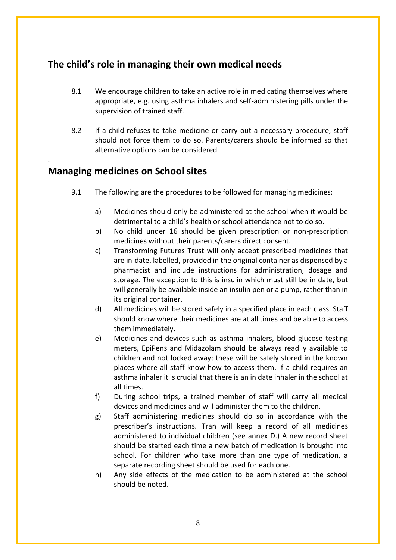# **The child's role in managing their own medical needs**

- 8.1 We encourage children to take an active role in medicating themselves where appropriate, e.g. using asthma inhalers and self-administering pills under the supervision of trained staff.
- 8.2 If a child refuses to take medicine or carry out a necessary procedure, staff should not force them to do so. Parents/carers should be informed so that alternative options can be considered

## **Managing medicines on School sites**

.

- 9.1 The following are the procedures to be followed for managing medicines:
	- a) Medicines should only be administered at the school when it would be detrimental to a child's health or school attendance not to do so.
	- b) No child under 16 should be given prescription or non-prescription medicines without their parents/carers direct consent.
	- c) Transforming Futures Trust will only accept prescribed medicines that are in-date, labelled, provided in the original container as dispensed by a pharmacist and include instructions for administration, dosage and storage. The exception to this is insulin which must still be in date, but will generally be available inside an insulin pen or a pump, rather than in its original container.
	- d) All medicines will be stored safely in a specified place in each class. Staff should know where their medicines are at all times and be able to access them immediately.
	- e) Medicines and devices such as asthma inhalers, blood glucose testing meters, EpiPens and Midazolam should be always readily available to children and not locked away; these will be safely stored in the known places where all staff know how to access them. If a child requires an asthma inhaler it is crucial that there is an in date inhaler in the school at all times.
	- f) During school trips, a trained member of staff will carry all medical devices and medicines and will administer them to the children.
	- g) Staff administering medicines should do so in accordance with the prescriber's instructions. Tran will keep a record of all medicines administered to individual children (see annex D.) A new record sheet should be started each time a new batch of medication is brought into school. For children who take more than one type of medication, a separate recording sheet should be used for each one.
	- h) Any side effects of the medication to be administered at the school should be noted.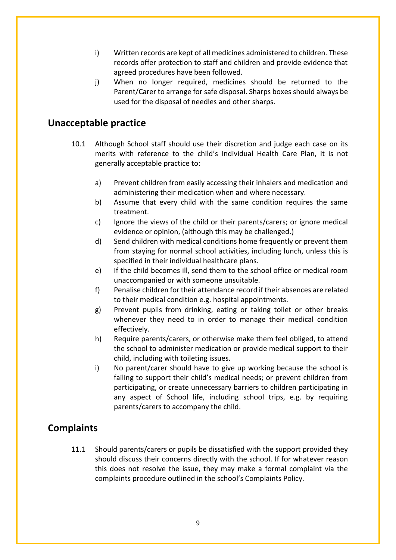- i) Written records are kept of all medicines administered to children. These records offer protection to staff and children and provide evidence that agreed procedures have been followed.
- j) When no longer required, medicines should be returned to the Parent/Carer to arrange for safe disposal. Sharps boxes should always be used for the disposal of needles and other sharps.

#### **Unacceptable practice**

- 10.1 Although School staff should use their discretion and judge each case on its merits with reference to the child's Individual Health Care Plan, it is not generally acceptable practice to:
	- a) Prevent children from easily accessing their inhalers and medication and administering their medication when and where necessary.
	- b) Assume that every child with the same condition requires the same treatment.
	- c) Ignore the views of the child or their parents/carers; or ignore medical evidence or opinion, (although this may be challenged.)
	- d) Send children with medical conditions home frequently or prevent them from staying for normal school activities, including lunch, unless this is specified in their individual healthcare plans.
	- e) If the child becomes ill, send them to the school office or medical room unaccompanied or with someone unsuitable.
	- f) Penalise children for their attendance record if their absences are related to their medical condition e.g. hospital appointments.
	- g) Prevent pupils from drinking, eating or taking toilet or other breaks whenever they need to in order to manage their medical condition effectively.
	- h) Require parents/carers, or otherwise make them feel obliged, to attend the school to administer medication or provide medical support to their child, including with toileting issues.
	- i) No parent/carer should have to give up working because the school is failing to support their child's medical needs; or prevent children from participating, or create unnecessary barriers to children participating in any aspect of School life, including school trips, e.g. by requiring parents/carers to accompany the child.

#### **Complaints**

11.1 Should parents/carers or pupils be dissatisfied with the support provided they should discuss their concerns directly with the school. If for whatever reason this does not resolve the issue, they may make a formal complaint via the complaints procedure outlined in the school's Complaints Policy.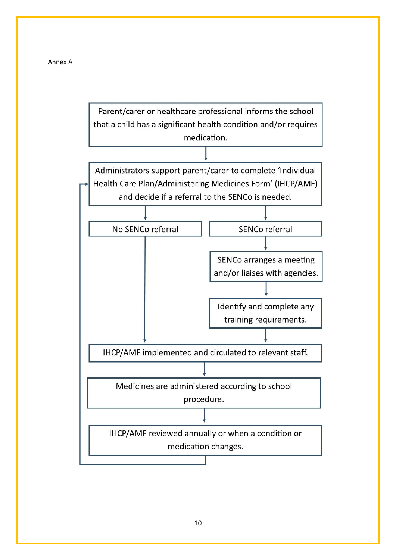

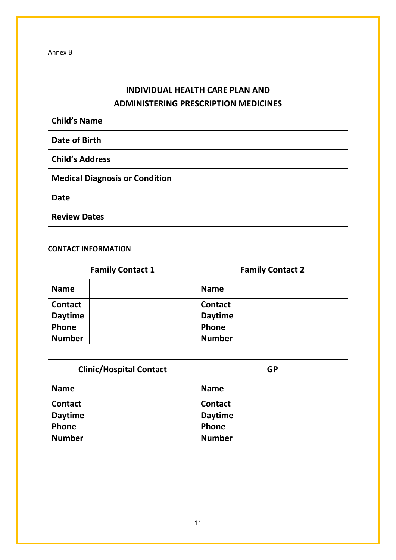# **INDIVIDUAL HEALTH CARE PLAN AND ADMINISTERING PRESCRIPTION MEDICINES**

| <b>Child's Name</b>                   |  |
|---------------------------------------|--|
| Date of Birth                         |  |
| <b>Child's Address</b>                |  |
| <b>Medical Diagnosis or Condition</b> |  |
| <b>Date</b>                           |  |
| <b>Review Dates</b>                   |  |

#### **CONTACT INFORMATION**

| <b>Family Contact 1</b> |  | <b>Family Contact 2</b> |  |
|-------------------------|--|-------------------------|--|
| <b>Name</b>             |  | <b>Name</b>             |  |
| <b>Contact</b>          |  | <b>Contact</b>          |  |
| <b>Daytime</b>          |  | <b>Daytime</b>          |  |
| Phone                   |  | Phone                   |  |
| <b>Number</b>           |  | <b>Number</b>           |  |

|                | <b>Clinic/Hospital Contact</b> |                | <b>GP</b> |
|----------------|--------------------------------|----------------|-----------|
| <b>Name</b>    |                                | <b>Name</b>    |           |
| <b>Contact</b> |                                | <b>Contact</b> |           |
| <b>Daytime</b> |                                | <b>Daytime</b> |           |
| Phone          |                                | Phone          |           |
| <b>Number</b>  |                                | <b>Number</b>  |           |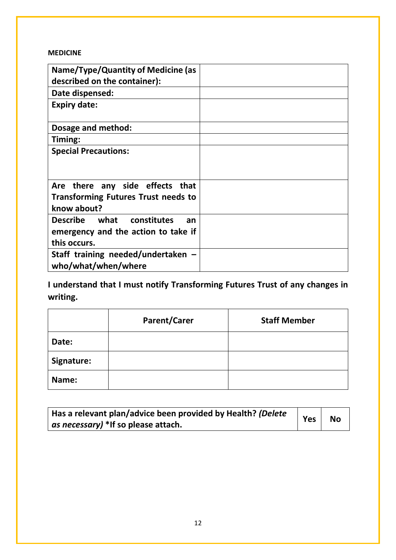#### **MEDICINE**

| Name/Type/Quantity of Medicine (as<br>described on the container):                           |  |
|----------------------------------------------------------------------------------------------|--|
| Date dispensed:                                                                              |  |
| <b>Expiry date:</b>                                                                          |  |
| Dosage and method:                                                                           |  |
| Timing:                                                                                      |  |
| <b>Special Precautions:</b>                                                                  |  |
| Are there any side effects that<br><b>Transforming Futures Trust needs to</b><br>know about? |  |
| Describe what constitutes<br>an<br>emergency and the action to take if<br>this occurs.       |  |
| Staff training needed/undertaken $-$<br>who/what/when/where                                  |  |

**I understand that I must notify Transforming Futures Trust of any changes in writing.**

|            | <b>Parent/Carer</b> | <b>Staff Member</b> |
|------------|---------------------|---------------------|
| Date:      |                     |                     |
| Signature: |                     |                     |
| Name:      |                     |                     |

| Has a relevant plan/advice been provided by Health? (Delete |     | <b>No</b> |
|-------------------------------------------------------------|-----|-----------|
| as necessary) *If so please attach.                         | Yes |           |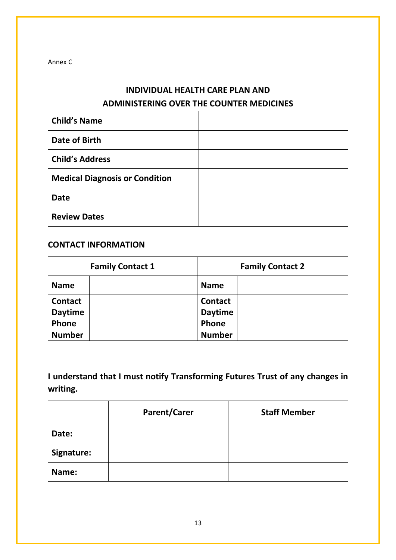Annex C

# **INDIVIDUAL HEALTH CARE PLAN AND ADMINISTERING OVER THE COUNTER MEDICINES**

| <b>Child's Name</b>                   |  |
|---------------------------------------|--|
| Date of Birth                         |  |
| <b>Child's Address</b>                |  |
| <b>Medical Diagnosis or Condition</b> |  |
| <b>Date</b>                           |  |
| <b>Review Dates</b>                   |  |

#### **CONTACT INFORMATION**

| <b>Family Contact 1</b> |  | <b>Family Contact 2</b> |  |
|-------------------------|--|-------------------------|--|
| <b>Name</b>             |  | <b>Name</b>             |  |
| <b>Contact</b>          |  | <b>Contact</b>          |  |
| <b>Daytime</b>          |  | <b>Daytime</b>          |  |
| Phone                   |  | Phone                   |  |
| <b>Number</b>           |  | <b>Number</b>           |  |

**I understand that I must notify Transforming Futures Trust of any changes in writing.**

|            | <b>Parent/Carer</b> | <b>Staff Member</b> |
|------------|---------------------|---------------------|
| Date:      |                     |                     |
| Signature: |                     |                     |
| Name:      |                     |                     |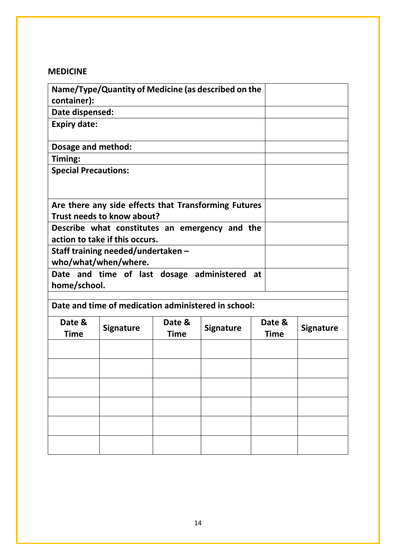# **MEDICINE**

| container):                        | Name/Type/Quantity of Medicine (as described on the  |                |                  |                |                  |
|------------------------------------|------------------------------------------------------|----------------|------------------|----------------|------------------|
| Date dispensed:                    |                                                      |                |                  |                |                  |
| <b>Expiry date:</b>                |                                                      |                |                  |                |                  |
| Dosage and method:                 |                                                      |                |                  |                |                  |
| Timing:                            |                                                      |                |                  |                |                  |
| <b>Special Precautions:</b>        |                                                      |                |                  |                |                  |
|                                    |                                                      |                |                  |                |                  |
|                                    | Are there any side effects that Transforming Futures |                |                  |                |                  |
|                                    | Trust needs to know about?                           |                |                  |                |                  |
|                                    | Describe what constitutes an emergency and the       |                |                  |                |                  |
| action to take if this occurs.     |                                                      |                |                  |                |                  |
| Staff training needed/undertaken – |                                                      |                |                  |                |                  |
| who/what/when/where.               |                                                      |                |                  |                |                  |
|                                    | Date and time of last dosage administered<br>at      |                |                  |                |                  |
| home/school.                       |                                                      |                |                  |                |                  |
|                                    |                                                      |                |                  |                |                  |
|                                    | Date and time of medication administered in school:  |                |                  |                |                  |
| Date &<br>Time                     | <b>Signature</b>                                     | Date &<br>Time | <b>Signature</b> | Date &<br>Time | <b>Signature</b> |

| Date &<br><b>Time</b> | <b>Signature</b> | Date &<br><b>Time</b> | <b>Signature</b> | Date &<br><b>Time</b> | <b>Signature</b> |
|-----------------------|------------------|-----------------------|------------------|-----------------------|------------------|
|                       |                  |                       |                  |                       |                  |
|                       |                  |                       |                  |                       |                  |
|                       |                  |                       |                  |                       |                  |
|                       |                  |                       |                  |                       |                  |
|                       |                  |                       |                  |                       |                  |
|                       |                  |                       |                  |                       |                  |